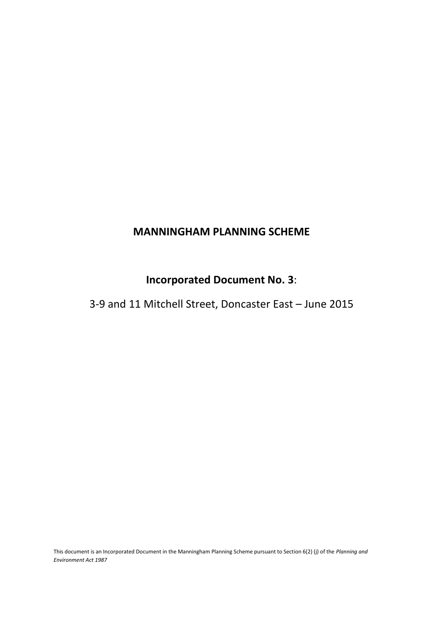# **MANNINGHAM PLANNING SCHEME**

# **Incorporated Document No. 3**:

# 3-9 and 11 Mitchell Street, Doncaster East – June 2015

This document is an Incorporated Document in the Manningham Planning Scheme pursuant to Section 6(2) (j) of the *Planning and Environment Act 1987*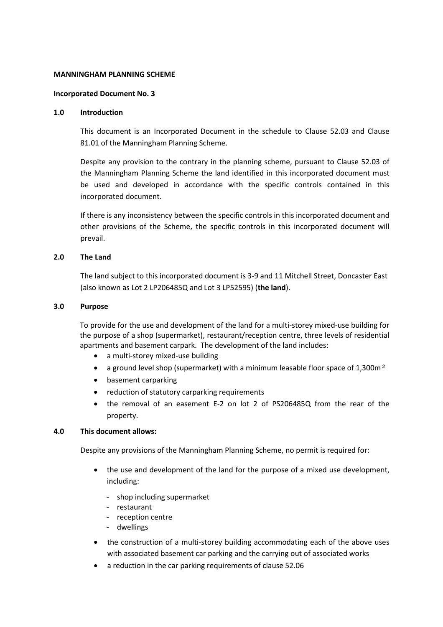## **MANNINGHAM PLANNING SCHEME**

### **Incorporated Document No. 3**

### **1.0 Introduction**

This document is an Incorporated Document in the schedule to Clause 52.03 and Clause 81.01 of the Manningham Planning Scheme.

Despite any provision to the contrary in the planning scheme, pursuant to Clause 52.03 of the Manningham Planning Scheme the land identified in this incorporated document must be used and developed in accordance with the specific controls contained in this incorporated document.

If there is any inconsistency between the specific controls in this incorporated document and other provisions of the Scheme, the specific controls in this incorporated document will prevail.

## **2.0 The Land**

The land subject to this incorporated document is 3-9 and 11 Mitchell Street, Doncaster East (also known as Lot 2 LP206485Q and Lot 3 LP52595) (**the land**).

## **3.0 Purpose**

To provide for the use and development of the land for a multi-storey mixed-use building for the purpose of a shop (supermarket), restaurant/reception centre, three levels of residential apartments and basement carpark. The development of the land includes:

- a multi-storey mixed-use building
- a ground level shop (supermarket) with a minimum leasable floor space of 1,300m<sup>2</sup>
- basement carparking
- reduction of statutory carparking requirements
- the removal of an easement E-2 on lot 2 of PS206485Q from the rear of the property.

## **4.0 This document allows:**

Despite any provisions of the Manningham Planning Scheme, no permit is required for:

- the use and development of the land for the purpose of a mixed use development, including:
	- shop including supermarket
	- restaurant
	- reception centre
	- dwellings
- the construction of a multi-storey building accommodating each of the above uses with associated basement car parking and the carrying out of associated works
- a reduction in the car parking requirements of clause 52.06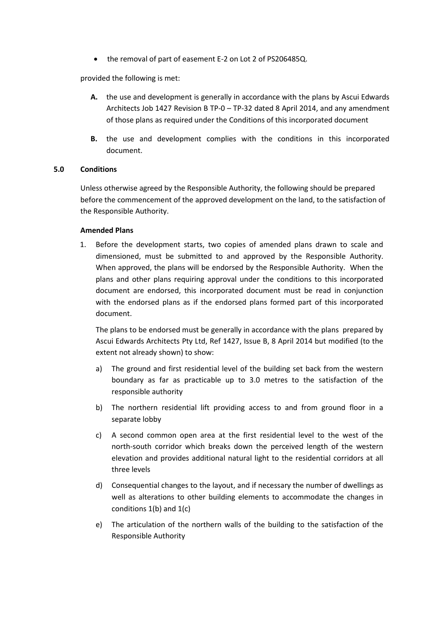the removal of part of easement E-2 on Lot 2 of PS206485Q.

provided the following is met:

- **A.** the use and development is generally in accordance with the plans by Ascui Edwards Architects Job 1427 Revision B TP-0 – TP-32 dated 8 April 2014, and any amendment of those plans as required under the Conditions of this incorporated document
- **B.** the use and development complies with the conditions in this incorporated document.

## **5.0 Conditions**

Unless otherwise agreed by the Responsible Authority, the following should be prepared before the commencement of the approved development on the land, to the satisfaction of the Responsible Authority.

## **Amended Plans**

1. Before the development starts, two copies of amended plans drawn to scale and dimensioned, must be submitted to and approved by the Responsible Authority. When approved, the plans will be endorsed by the Responsible Authority. When the plans and other plans requiring approval under the conditions to this incorporated document are endorsed, this incorporated document must be read in conjunction with the endorsed plans as if the endorsed plans formed part of this incorporated document.

The plans to be endorsed must be generally in accordance with the plans prepared by Ascui Edwards Architects Pty Ltd, Ref 1427, Issue B, 8 April 2014 but modified (to the extent not already shown) to show:

- a) The ground and first residential level of the building set back from the western boundary as far as practicable up to 3.0 metres to the satisfaction of the responsible authority
- b) The northern residential lift providing access to and from ground floor in a separate lobby
- c) A second common open area at the first residential level to the west of the north-south corridor which breaks down the perceived length of the western elevation and provides additional natural light to the residential corridors at all three levels
- d) Consequential changes to the layout, and if necessary the number of dwellings as well as alterations to other building elements to accommodate the changes in conditions  $1(b)$  and  $1(c)$
- e) The articulation of the northern walls of the building to the satisfaction of the Responsible Authority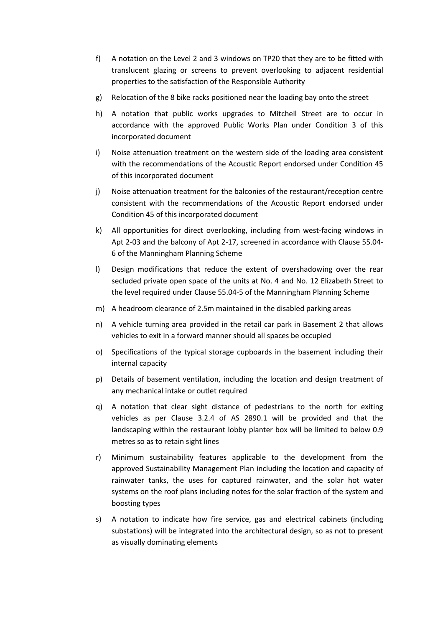- f) A notation on the Level 2 and 3 windows on TP20 that they are to be fitted with translucent glazing or screens to prevent overlooking to adjacent residential properties to the satisfaction of the Responsible Authority
- g) Relocation of the 8 bike racks positioned near the loading bay onto the street
- h) A notation that public works upgrades to Mitchell Street are to occur in accordance with the approved Public Works Plan under Condition 3 of this incorporated document
- i) Noise attenuation treatment on the western side of the loading area consistent with the recommendations of the Acoustic Report endorsed under Condition 45 of this incorporated document
- j) Noise attenuation treatment for the balconies of the restaurant/reception centre consistent with the recommendations of the Acoustic Report endorsed under Condition 45 of this incorporated document
- k) All opportunities for direct overlooking, including from west-facing windows in Apt 2-03 and the balcony of Apt 2-17, screened in accordance with Clause 55.04- 6 of the Manningham Planning Scheme
- l) Design modifications that reduce the extent of overshadowing over the rear secluded private open space of the units at No. 4 and No. 12 Elizabeth Street to the level required under Clause 55.04-5 of the Manningham Planning Scheme
- m) A headroom clearance of 2.5m maintained in the disabled parking areas
- n) A vehicle turning area provided in the retail car park in Basement 2 that allows vehicles to exit in a forward manner should all spaces be occupied
- o) Specifications of the typical storage cupboards in the basement including their internal capacity
- p) Details of basement ventilation, including the location and design treatment of any mechanical intake or outlet required
- q) A notation that clear sight distance of pedestrians to the north for exiting vehicles as per Clause 3.2.4 of AS 2890.1 will be provided and that the landscaping within the restaurant lobby planter box will be limited to below 0.9 metres so as to retain sight lines
- r) Minimum sustainability features applicable to the development from the approved Sustainability Management Plan including the location and capacity of rainwater tanks, the uses for captured rainwater, and the solar hot water systems on the roof plans including notes for the solar fraction of the system and boosting types
- s) A notation to indicate how fire service, gas and electrical cabinets (including substations) will be integrated into the architectural design, so as not to present as visually dominating elements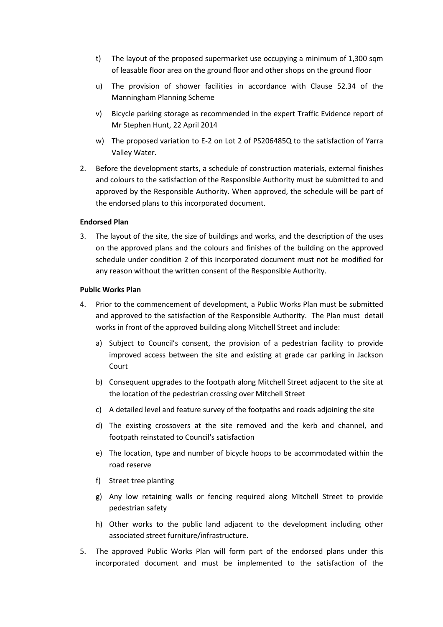- t) The layout of the proposed supermarket use occupying a minimum of 1,300 sqm of leasable floor area on the ground floor and other shops on the ground floor
- u) The provision of shower facilities in accordance with Clause 52.34 of the Manningham Planning Scheme
- v) Bicycle parking storage as recommended in the expert Traffic Evidence report of Mr Stephen Hunt, 22 April 2014
- w) The proposed variation to E-2 on Lot 2 of PS206485Q to the satisfaction of Yarra Valley Water.
- 2. Before the development starts, a schedule of construction materials, external finishes and colours to the satisfaction of the Responsible Authority must be submitted to and approved by the Responsible Authority. When approved, the schedule will be part of the endorsed plans to this incorporated document.

## **Endorsed Plan**

3. The layout of the site, the size of buildings and works, and the description of the uses on the approved plans and the colours and finishes of the building on the approved schedule under condition 2 of this incorporated document must not be modified for any reason without the written consent of the Responsible Authority.

## **Public Works Plan**

- 4. Prior to the commencement of development, a Public Works Plan must be submitted and approved to the satisfaction of the Responsible Authority. The Plan must detail works in front of the approved building along Mitchell Street and include:
	- a) Subject to Council's consent, the provision of a pedestrian facility to provide improved access between the site and existing at grade car parking in Jackson Court
	- b) Consequent upgrades to the footpath along Mitchell Street adjacent to the site at the location of the pedestrian crossing over Mitchell Street
	- c) A detailed level and feature survey of the footpaths and roads adjoining the site
	- d) The existing crossovers at the site removed and the kerb and channel, and footpath reinstated to Council's satisfaction
	- e) The location, type and number of bicycle hoops to be accommodated within the road reserve
	- f) Street tree planting
	- g) Any low retaining walls or fencing required along Mitchell Street to provide pedestrian safety
	- h) Other works to the public land adjacent to the development including other associated street furniture/infrastructure.
- 5. The approved Public Works Plan will form part of the endorsed plans under this incorporated document and must be implemented to the satisfaction of the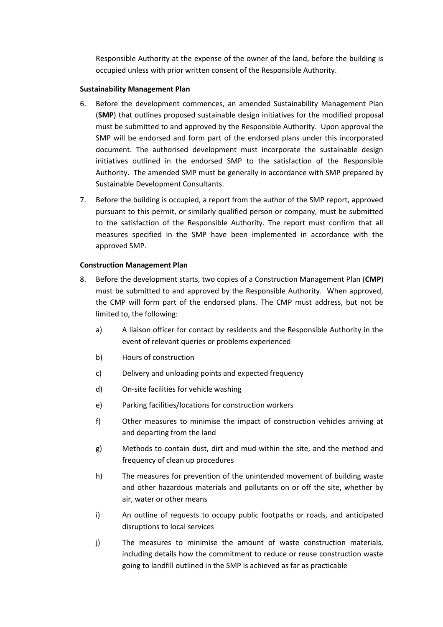Responsible Authority at the expense of the owner of the land, before the building is occupied unless with prior written consent of the Responsible Authority.

## **Sustainability Management Plan**

- 6. Before the development commences, an amended Sustainability Management Plan (**SMP**) that outlines proposed sustainable design initiatives for the modified proposal must be submitted to and approved by the Responsible Authority. Upon approval the SMP will be endorsed and form part of the endorsed plans under this incorporated document. The authorised development must incorporate the sustainable design initiatives outlined in the endorsed SMP to the satisfaction of the Responsible Authority. The amended SMP must be generally in accordance with SMP prepared by Sustainable Development Consultants.
- 7. Before the building is occupied, a report from the author of the SMP report, approved pursuant to this permit, or similarly qualified person or company, must be submitted to the satisfaction of the Responsible Authority. The report must confirm that all measures specified in the SMP have been implemented in accordance with the approved SMP.

## **Construction Management Plan**

- 8. Before the development starts, two copies of a Construction Management Plan (**CMP**) must be submitted to and approved by the Responsible Authority. When approved, the CMP will form part of the endorsed plans. The CMP must address, but not be limited to, the following:
	- a) A liaison officer for contact by residents and the Responsible Authority in the event of relevant queries or problems experienced
	- b) Hours of construction
	- c) Delivery and unloading points and expected frequency
	- d) On-site facilities for vehicle washing
	- e) Parking facilities/locations for construction workers
	- f) Other measures to minimise the impact of construction vehicles arriving at and departing from the land
	- g) Methods to contain dust, dirt and mud within the site, and the method and frequency of clean up procedures
	- h) The measures for prevention of the unintended movement of building waste and other hazardous materials and pollutants on or off the site, whether by air, water or other means
	- i) An outline of requests to occupy public footpaths or roads, and anticipated disruptions to local services
	- j) The measures to minimise the amount of waste construction materials, including details how the commitment to reduce or reuse construction waste going to landfill outlined in the SMP is achieved as far as practicable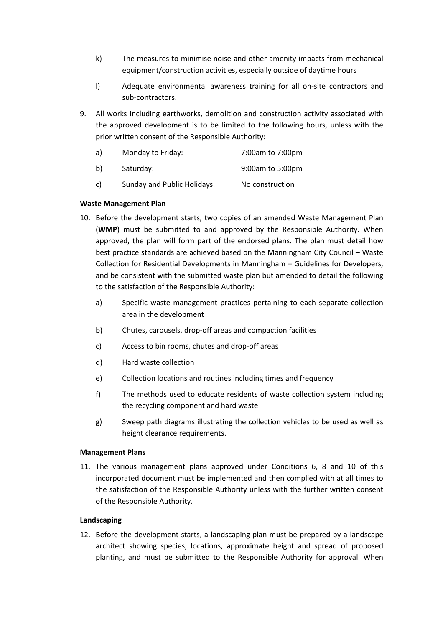- k) The measures to minimise noise and other amenity impacts from mechanical equipment/construction activities, especially outside of daytime hours
- l) Adequate environmental awareness training for all on-site contractors and sub-contractors.
- 9. All works including earthworks, demolition and construction activity associated with the approved development is to be limited to the following hours, unless with the prior written consent of the Responsible Authority:

| a) | Monday to Friday:           | 7:00am to 7:00pm |
|----|-----------------------------|------------------|
| b) | Saturday:                   | 9:00am to 5:00pm |
| c) | Sunday and Public Holidays: | No construction  |

# **Waste Management Plan**

- 10. Before the development starts, two copies of an amended Waste Management Plan (**WMP**) must be submitted to and approved by the Responsible Authority. When approved, the plan will form part of the endorsed plans. The plan must detail how best practice standards are achieved based on the Manningham City Council – Waste Collection for Residential Developments in Manningham – Guidelines for Developers, and be consistent with the submitted waste plan but amended to detail the following to the satisfaction of the Responsible Authority:
	- a) Specific waste management practices pertaining to each separate collection area in the development
	- b) Chutes, carousels, drop-off areas and compaction facilities
	- c) Access to bin rooms, chutes and drop-off areas
	- d) Hard waste collection
	- e) Collection locations and routines including times and frequency
	- f) The methods used to educate residents of waste collection system including the recycling component and hard waste
	- g) Sweep path diagrams illustrating the collection vehicles to be used as well as height clearance requirements.

## **Management Plans**

11. The various management plans approved under Conditions 6, 8 and 10 of this incorporated document must be implemented and then complied with at all times to the satisfaction of the Responsible Authority unless with the further written consent of the Responsible Authority.

## **Landscaping**

12. Before the development starts, a landscaping plan must be prepared by a landscape architect showing species, locations, approximate height and spread of proposed planting, and must be submitted to the Responsible Authority for approval. When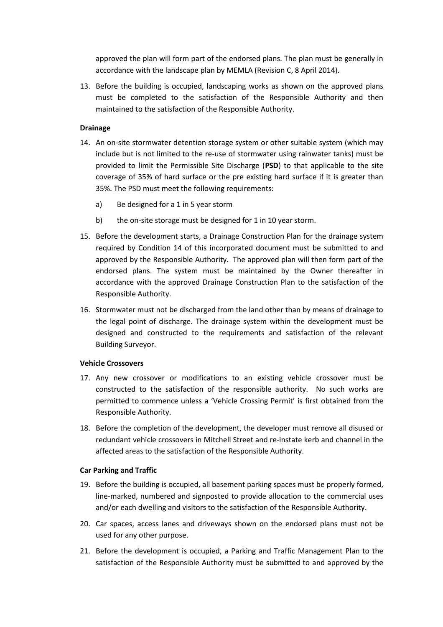approved the plan will form part of the endorsed plans. The plan must be generally in accordance with the landscape plan by MEMLA (Revision C, 8 April 2014).

13. Before the building is occupied, landscaping works as shown on the approved plans must be completed to the satisfaction of the Responsible Authority and then maintained to the satisfaction of the Responsible Authority.

# **Drainage**

- 14. An on-site stormwater detention storage system or other suitable system (which may include but is not limited to the re-use of stormwater using rainwater tanks) must be provided to limit the Permissible Site Discharge (**PSD**) to that applicable to the site coverage of 35% of hard surface or the pre existing hard surface if it is greater than 35%. The PSD must meet the following requirements:
	- a) Be designed for a 1 in 5 year storm
	- b) the on-site storage must be designed for 1 in 10 year storm.
- 15. Before the development starts, a Drainage Construction Plan for the drainage system required by Condition 14 of this incorporated document must be submitted to and approved by the Responsible Authority. The approved plan will then form part of the endorsed plans. The system must be maintained by the Owner thereafter in accordance with the approved Drainage Construction Plan to the satisfaction of the Responsible Authority.
- 16. Stormwater must not be discharged from the land other than by means of drainage to the legal point of discharge. The drainage system within the development must be designed and constructed to the requirements and satisfaction of the relevant Building Surveyor.

## **Vehicle Crossovers**

- 17. Any new crossover or modifications to an existing vehicle crossover must be constructed to the satisfaction of the responsible authority. No such works are permitted to commence unless a 'Vehicle Crossing Permit' is first obtained from the Responsible Authority.
- 18. Before the completion of the development, the developer must remove all disused or redundant vehicle crossovers in Mitchell Street and re-instate kerb and channel in the affected areas to the satisfaction of the Responsible Authority.

## **Car Parking and Traffic**

- 19. Before the building is occupied, all basement parking spaces must be properly formed, line-marked, numbered and signposted to provide allocation to the commercial uses and/or each dwelling and visitors to the satisfaction of the Responsible Authority.
- 20. Car spaces, access lanes and driveways shown on the endorsed plans must not be used for any other purpose.
- 21. Before the development is occupied, a Parking and Traffic Management Plan to the satisfaction of the Responsible Authority must be submitted to and approved by the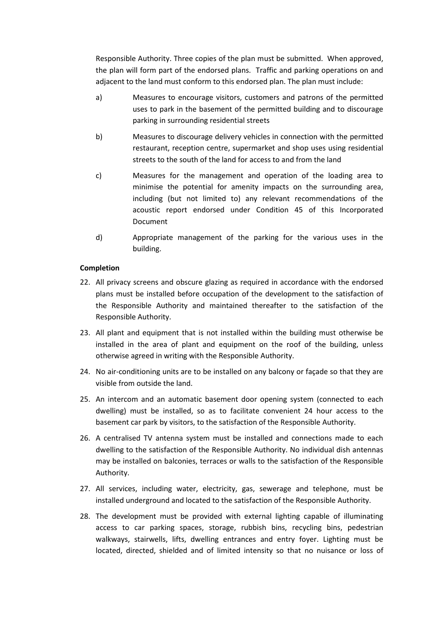Responsible Authority. Three copies of the plan must be submitted. When approved, the plan will form part of the endorsed plans. Traffic and parking operations on and adjacent to the land must conform to this endorsed plan. The plan must include:

- a) Measures to encourage visitors, customers and patrons of the permitted uses to park in the basement of the permitted building and to discourage parking in surrounding residential streets
- b) Measures to discourage delivery vehicles in connection with the permitted restaurant, reception centre, supermarket and shop uses using residential streets to the south of the land for access to and from the land
- c) Measures for the management and operation of the loading area to minimise the potential for amenity impacts on the surrounding area, including (but not limited to) any relevant recommendations of the acoustic report endorsed under Condition 45 of this Incorporated Document
- d) Appropriate management of the parking for the various uses in the building.

## **Completion**

- 22. All privacy screens and obscure glazing as required in accordance with the endorsed plans must be installed before occupation of the development to the satisfaction of the Responsible Authority and maintained thereafter to the satisfaction of the Responsible Authority.
- 23. All plant and equipment that is not installed within the building must otherwise be installed in the area of plant and equipment on the roof of the building, unless otherwise agreed in writing with the Responsible Authority.
- 24. No air-conditioning units are to be installed on any balcony or façade so that they are visible from outside the land.
- 25. An intercom and an automatic basement door opening system (connected to each dwelling) must be installed, so as to facilitate convenient 24 hour access to the basement car park by visitors, to the satisfaction of the Responsible Authority.
- 26. A centralised TV antenna system must be installed and connections made to each dwelling to the satisfaction of the Responsible Authority. No individual dish antennas may be installed on balconies, terraces or walls to the satisfaction of the Responsible Authority.
- 27. All services, including water, electricity, gas, sewerage and telephone, must be installed underground and located to the satisfaction of the Responsible Authority.
- 28. The development must be provided with external lighting capable of illuminating access to car parking spaces, storage, rubbish bins, recycling bins, pedestrian walkways, stairwells, lifts, dwelling entrances and entry foyer. Lighting must be located, directed, shielded and of limited intensity so that no nuisance or loss of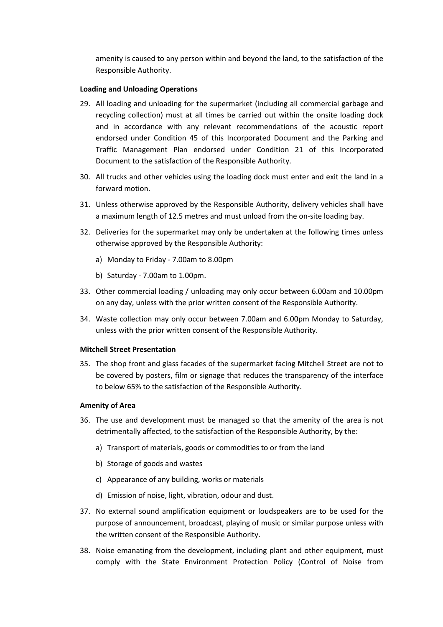amenity is caused to any person within and beyond the land, to the satisfaction of the Responsible Authority.

## **Loading and Unloading Operations**

- 29. All loading and unloading for the supermarket (including all commercial garbage and recycling collection) must at all times be carried out within the onsite loading dock and in accordance with any relevant recommendations of the acoustic report endorsed under Condition 45 of this Incorporated Document and the Parking and Traffic Management Plan endorsed under Condition 21 of this Incorporated Document to the satisfaction of the Responsible Authority.
- 30. All trucks and other vehicles using the loading dock must enter and exit the land in a forward motion.
- 31. Unless otherwise approved by the Responsible Authority, delivery vehicles shall have a maximum length of 12.5 metres and must unload from the on-site loading bay.
- 32. Deliveries for the supermarket may only be undertaken at the following times unless otherwise approved by the Responsible Authority:
	- a) Monday to Friday 7.00am to 8.00pm
	- b) Saturday 7.00am to 1.00pm.
- 33. Other commercial loading / unloading may only occur between 6.00am and 10.00pm on any day, unless with the prior written consent of the Responsible Authority.
- 34. Waste collection may only occur between 7.00am and 6.00pm Monday to Saturday, unless with the prior written consent of the Responsible Authority.

#### **Mitchell Street Presentation**

35. The shop front and glass facades of the supermarket facing Mitchell Street are not to be covered by posters, film or signage that reduces the transparency of the interface to below 65% to the satisfaction of the Responsible Authority.

#### **Amenity of Area**

- 36. The use and development must be managed so that the amenity of the area is not detrimentally affected, to the satisfaction of the Responsible Authority, by the:
	- a) Transport of materials, goods or commodities to or from the land
	- b) Storage of goods and wastes
	- c) Appearance of any building, works or materials
	- d) Emission of noise, light, vibration, odour and dust.
- 37. No external sound amplification equipment or loudspeakers are to be used for the purpose of announcement, broadcast, playing of music or similar purpose unless with the written consent of the Responsible Authority.
- 38. Noise emanating from the development, including plant and other equipment, must comply with the State Environment Protection Policy (Control of Noise from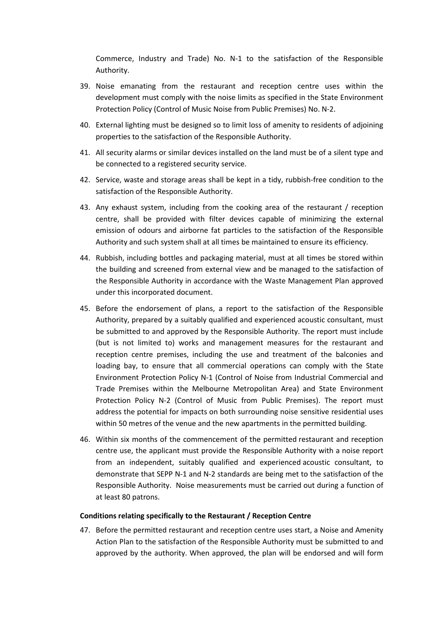Commerce, Industry and Trade) No. N-1 to the satisfaction of the Responsible Authority.

- 39. Noise emanating from the restaurant and reception centre uses within the development must comply with the noise limits as specified in the State Environment Protection Policy (Control of Music Noise from Public Premises) No. N-2.
- 40. External lighting must be designed so to limit loss of amenity to residents of adjoining properties to the satisfaction of the Responsible Authority.
- 41. All security alarms or similar devices installed on the land must be of a silent type and be connected to a registered security service.
- 42. Service, waste and storage areas shall be kept in a tidy, rubbish-free condition to the satisfaction of the Responsible Authority.
- 43. Any exhaust system, including from the cooking area of the restaurant / reception centre, shall be provided with filter devices capable of minimizing the external emission of odours and airborne fat particles to the satisfaction of the Responsible Authority and such system shall at all times be maintained to ensure its efficiency.
- 44. Rubbish, including bottles and packaging material, must at all times be stored within the building and screened from external view and be managed to the satisfaction of the Responsible Authority in accordance with the Waste Management Plan approved under this incorporated document.
- 45. Before the endorsement of plans, a report to the satisfaction of the Responsible Authority, prepared by a suitably qualified and experienced acoustic consultant, must be submitted to and approved by the Responsible Authority. The report must include (but is not limited to) works and management measures for the restaurant and reception centre premises, including the use and treatment of the balconies and loading bay, to ensure that all commercial operations can comply with the State Environment Protection Policy N-1 (Control of Noise from Industrial Commercial and Trade Premises within the Melbourne Metropolitan Area) and State Environment Protection Policy N-2 (Control of Music from Public Premises). The report must address the potential for impacts on both surrounding noise sensitive residential uses within 50 metres of the venue and the new apartments in the permitted building.
- 46. Within six months of the commencement of the permitted restaurant and reception centre use, the applicant must provide the Responsible Authority with a noise report from an independent, suitably qualified and experienced acoustic consultant, to demonstrate that SEPP N-1 and N-2 standards are being met to the satisfaction of the Responsible Authority. Noise measurements must be carried out during a function of at least 80 patrons.

#### **Conditions relating specifically to the Restaurant / Reception Centre**

47. Before the permitted restaurant and reception centre uses start, a Noise and Amenity Action Plan to the satisfaction of the Responsible Authority must be submitted to and approved by the authority. When approved, the plan will be endorsed and will form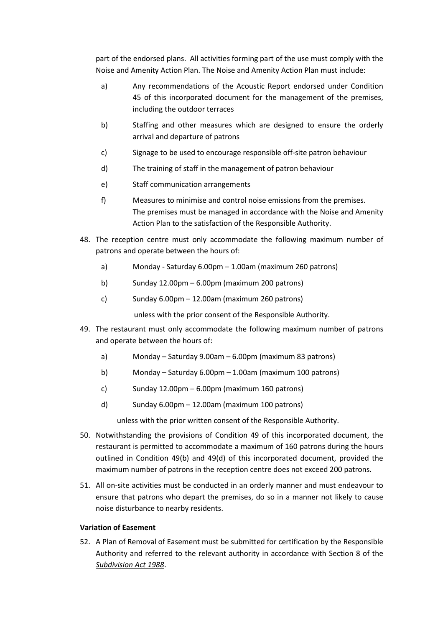part of the endorsed plans. All activities forming part of the use must comply with the Noise and Amenity Action Plan. The Noise and Amenity Action Plan must include:

- a) Any recommendations of the Acoustic Report endorsed under Condition 45 of this incorporated document for the management of the premises, including the outdoor terraces
- b) Staffing and other measures which are designed to ensure the orderly arrival and departure of patrons
- c) Signage to be used to encourage responsible off-site patron behaviour
- d) The training of staff in the management of patron behaviour
- e) Staff communication arrangements
- f) Measures to minimise and control noise emissions from the premises. The premises must be managed in accordance with the Noise and Amenity Action Plan to the satisfaction of the Responsible Authority.
- 48. The reception centre must only accommodate the following maximum number of patrons and operate between the hours of:
	- a) Monday Saturday 6.00pm 1.00am (maximum 260 patrons)
	- b) Sunday  $12.00 \text{pm} 6.00 \text{pm}$  (maximum 200 patrons)
	- c) Sunday 6.00pm 12.00am (maximum 260 patrons)

unless with the prior consent of the Responsible Authority.

- 49. The restaurant must only accommodate the following maximum number of patrons and operate between the hours of:
	- a) Monday Saturday 9.00am 6.00pm (maximum 83 patrons)
	- b) Monday Saturday 6.00pm 1.00am (maximum 100 patrons)
	- c) Sunday  $12.00 \text{pm} 6.00 \text{pm}$  (maximum 160 patrons)
	- d) Sunday 6.00pm 12.00am (maximum 100 patrons)

unless with the prior written consent of the Responsible Authority.

- 50. Notwithstanding the provisions of Condition 49 of this incorporated document, the restaurant is permitted to accommodate a maximum of 160 patrons during the hours outlined in Condition 49(b) and 49(d) of this incorporated document, provided the maximum number of patrons in the reception centre does not exceed 200 patrons.
- 51. All on-site activities must be conducted in an orderly manner and must endeavour to ensure that patrons who depart the premises, do so in a manner not likely to cause noise disturbance to nearby residents.

# **Variation of Easement**

52. A Plan of Removal of Easement must be submitted for certification by the Responsible Authority and referred to the relevant authority in accordance with Section 8 of the *Subdivision Act 1988*.